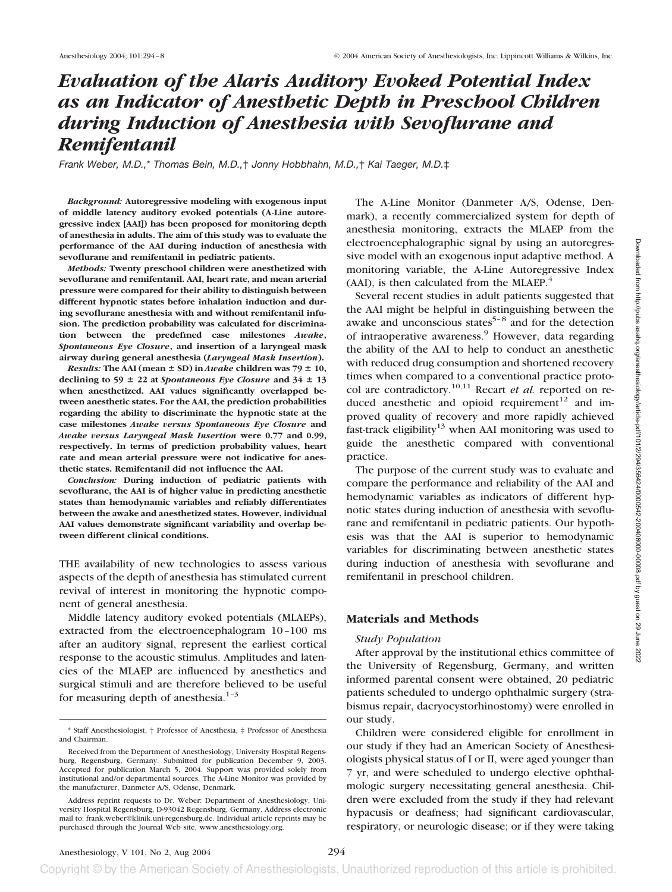# *Evaluation of the Alaris Auditory Evoked Potential Index as an Indicator of Anesthetic Depth in Preschool Children during Induction of Anesthesia with Sevoflurane and Remifentanil*

*Frank Weber, M.D.,*\* *Thomas Bein, M.D.,*† *Jonny Hobbhahn, M.D.,*† *Kai Taeger, M.D.*‡

*Background:* **Autoregressive modeling with exogenous input of middle latency auditory evoked potentials (A-Line autoregressive index [AAI]) has been proposed for monitoring depth of anesthesia in adults. The aim of this study was to evaluate the performance of the AAI during induction of anesthesia with sevoflurane and remifentanil in pediatric patients.**

*Methods:* **Twenty preschool children were anesthetized with sevoflurane and remifentanil. AAI, heart rate, and mean arterial pressure were compared for their ability to distinguish between different hypnotic states before inhalation induction and during sevoflurane anesthesia with and without remifentanil infusion. The prediction probability was calculated for discrimination between the predefined case milestones** *Awake***,** *Spontaneous Eye Closure***, and insertion of a laryngeal mask airway during general anesthesia (***Laryngeal Mask Insertion***).**

*Results:* The AAI (mean  $\pm$  SD) in *Awake* children was 79  $\pm$  10, declining to 59  $\pm$  22 at *Spontaneous Eye Closure* and 34  $\pm$  13 **when anesthetized. AAI values significantly overlapped between anesthetic states. For the AAI, the prediction probabilities regarding the ability to discriminate the hypnotic state at the case milestones** *Awake versus Spontaneous Eye Closure* **and** *Awake versus Laryngeal Mask Insertion* **were 0.77 and 0.99, respectively. In terms of prediction probability values, heart rate and mean arterial pressure were not indicative for anesthetic states. Remifentanil did not influence the AAI.**

*Conclusion:* **During induction of pediatric patients with sevoflurane, the AAI is of higher value in predicting anesthetic states than hemodynamic variables and reliably differentiates between the awake and anesthetized states. However, individual AAI values demonstrate significant variability and overlap between different clinical conditions.**

THE availability of new technologies to assess various aspects of the depth of anesthesia has stimulated current revival of interest in monitoring the hypnotic component of general anesthesia.

Middle latency auditory evoked potentials (MLAEPs), extracted from the electroencephalogram 10–100 ms after an auditory signal, represent the earliest cortical response to the acoustic stimulus. Amplitudes and latencies of the MLAEP are influenced by anesthetics and surgical stimuli and are therefore believed to be useful for measuring depth of anesthesia. $1-3$ 

The A-Line Monitor (Danmeter A/S, Odense, Denmark), a recently commercialized system for depth of anesthesia monitoring, extracts the MLAEP from the electroencephalographic signal by using an autoregressive model with an exogenous input adaptive method. A monitoring variable, the A-Line Autoregressive Index (AAI), is then calculated from the MLAEP. $4$ 

Several recent studies in adult patients suggested that the AAI might be helpful in distinguishing between the awake and unconscious states $5-8$  and for the detection of intraoperative awareness.<sup>9</sup> However, data regarding the ability of the AAI to help to conduct an anesthetic with reduced drug consumption and shortened recovery times when compared to a conventional practice protocol are contradictory.<sup>10,11</sup> Recart *et al.* reported on reduced anesthetic and opioid requirement<sup>12</sup> and improved quality of recovery and more rapidly achieved fast-track eligibility<sup>13</sup> when AAI monitoring was used to guide the anesthetic compared with conventional practice.

The purpose of the current study was to evaluate and compare the performance and reliability of the AAI and hemodynamic variables as indicators of different hypnotic states during induction of anesthesia with sevoflurane and remifentanil in pediatric patients. Our hypothesis was that the AAI is superior to hemodynamic variables for discriminating between anesthetic states during induction of anesthesia with sevoflurane and remifentanil in preschool children.

## **Materials and Methods**

#### *Study Population*

After approval by the institutional ethics committee of the University of Regensburg, Germany, and written informed parental consent were obtained, 20 pediatric patients scheduled to undergo ophthalmic surgery (strabismus repair, dacryocystorhinostomy) were enrolled in our study.

Children were considered eligible for enrollment in our study if they had an American Society of Anesthesiologists physical status of I or II, were aged younger than 7 yr, and were scheduled to undergo elective ophthalmologic surgery necessitating general anesthesia. Children were excluded from the study if they had relevant hypacusis or deafness; had significant cardiovascular, respiratory, or neurologic disease; or if they were taking

<sup>\*</sup> Staff Anesthesiologist, † Professor of Anesthesia, ‡ Professor of Anesthesia and Chairman.

Received from the Department of Anesthesiology, University Hospital Regensburg, Regensburg, Germany. Submitted for publication December 9, 2003. Accepted for publication March 5, 2004. Support was provided solely from institutional and/or departmental sources. The A-Line Monitor was provided by the manufacturer, Danmeter A/S, Odense, Denmark.

Address reprint requests to Dr. Weber: Department of Anesthesiology, University Hospital Regensburg, D-93042 Regensburg, Germany. Address electronic mail to: frank.weber@klinik.uni-regensburg.de. Individual article reprints may be purchased through the Journal Web site, www.anesthesiology.org.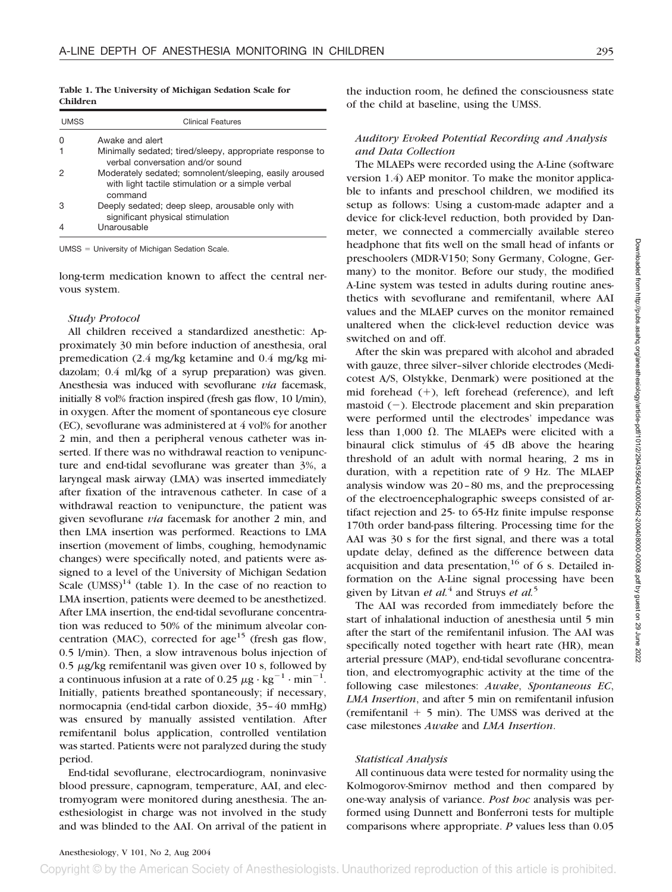**Table 1. The University of Michigan Sedation Scale for Children**

| <b>UMSS</b> | <b>Clinical Features</b>                                                                                    |
|-------------|-------------------------------------------------------------------------------------------------------------|
|             | Awake and alert                                                                                             |
|             | Minimally sedated; tired/sleepy, appropriate response to<br>verbal conversation and/or sound                |
|             | Moderately sedated; somnolent/sleeping, easily aroused<br>with light tactile stimulation or a simple verbal |
|             | command                                                                                                     |
| з           | Deeply sedated; deep sleep, arousable only with<br>significant physical stimulation                         |
|             | Unarousable                                                                                                 |

UMSS = University of Michigan Sedation Scale.

long-term medication known to affect the central nervous system.

### *Study Protocol*

All children received a standardized anesthetic: Approximately 30 min before induction of anesthesia, oral premedication (2.4 mg/kg ketamine and 0.4 mg/kg midazolam; 0.4 ml/kg of a syrup preparation) was given. Anesthesia was induced with sevoflurane *via* facemask, initially 8 vol% fraction inspired (fresh gas flow, 10 l/min), in oxygen. After the moment of spontaneous eye closure (EC), sevoflurane was administered at 4 vol% for another 2 min, and then a peripheral venous catheter was inserted. If there was no withdrawal reaction to venipuncture and end-tidal sevoflurane was greater than 3%, a laryngeal mask airway (LMA) was inserted immediately after fixation of the intravenous catheter. In case of a withdrawal reaction to venipuncture, the patient was given sevoflurane *via* facemask for another 2 min, and then LMA insertion was performed. Reactions to LMA insertion (movement of limbs, coughing, hemodynamic changes) were specifically noted, and patients were assigned to a level of the University of Michigan Sedation Scale (UMSS) $^{14}$  (table 1). In the case of no reaction to LMA insertion, patients were deemed to be anesthetized. After LMA insertion, the end-tidal sevoflurane concentration was reduced to 50% of the minimum alveolar concentration (MAC), corrected for age<sup>15</sup> (fresh gas flow, 0.5 l/min). Then, a slow intravenous bolus injection of 0.5  $\mu$ g/kg remifentanil was given over 10 s, followed by a continuous infusion at a rate of 0.25  $\mu$ g · kg<sup>-1</sup> · min<sup>-1</sup>. Initially, patients breathed spontaneously; if necessary, normocapnia (end-tidal carbon dioxide, 35–40 mmHg) was ensured by manually assisted ventilation. After remifentanil bolus application, controlled ventilation was started. Patients were not paralyzed during the study period.

End-tidal sevoflurane, electrocardiogram, noninvasive blood pressure, capnogram, temperature, AAI, and electromyogram were monitored during anesthesia. The anesthesiologist in charge was not involved in the study and was blinded to the AAI. On arrival of the patient in

the induction room, he defined the consciousness state of the child at baseline, using the UMSS.

# *Auditory Evoked Potential Recording and Analysis and Data Collection*

The MLAEPs were recorded using the A-Line (software version 1.4) AEP monitor. To make the monitor applicable to infants and preschool children, we modified its setup as follows: Using a custom-made adapter and a device for click-level reduction, both provided by Danmeter, we connected a commercially available stereo headphone that fits well on the small head of infants or preschoolers (MDR-V150; Sony Germany, Cologne, Germany) to the monitor. Before our study, the modified A-Line system was tested in adults during routine anesthetics with sevoflurane and remifentanil, where AAI values and the MLAEP curves on the monitor remained unaltered when the click-level reduction device was switched on and off.

After the skin was prepared with alcohol and abraded with gauze, three silver–silver chloride electrodes (Medicotest A/S, Olstykke, Denmark) were positioned at the mid forehead (+), left forehead (reference), and left mastoid  $(-)$ . Electrode placement and skin preparation were performed until the electrodes' impedance was less than 1,000  $\Omega$ . The MLAEPs were elicited with a binaural click stimulus of 45 dB above the hearing threshold of an adult with normal hearing, 2 ms in duration, with a repetition rate of 9 Hz. The MLAEP analysis window was 20–80 ms, and the preprocessing of the electroencephalographic sweeps consisted of artifact rejection and 25- to 65-Hz finite impulse response 170th order band-pass filtering. Processing time for the AAI was 30 s for the first signal, and there was a total update delay, defined as the difference between data acquisition and data presentation,<sup>16</sup> of 6 s. Detailed information on the A-Line signal processing have been given by Litvan *et al.*<sup>4</sup> and Struys *et al.*<sup>5</sup>

The AAI was recorded from immediately before the start of inhalational induction of anesthesia until 5 min after the start of the remifentanil infusion. The AAI was specifically noted together with heart rate (HR), mean arterial pressure (MAP), end-tidal sevoflurane concentration, and electromyographic activity at the time of the following case milestones: *Awake*, *Spontaneous EC*, *LMA Insertion*, and after 5 min on remifentanil infusion  $($ remifentanil  $+$  5 min). The UMSS was derived at the case milestones *Awake* and *LMA Insertion*.

## *Statistical Analysis*

All continuous data were tested for normality using the Kolmogorov-Smirnov method and then compared by one-way analysis of variance. *Post hoc* analysis was performed using Dunnett and Bonferroni tests for multiple comparisons where appropriate. *P* values less than 0.05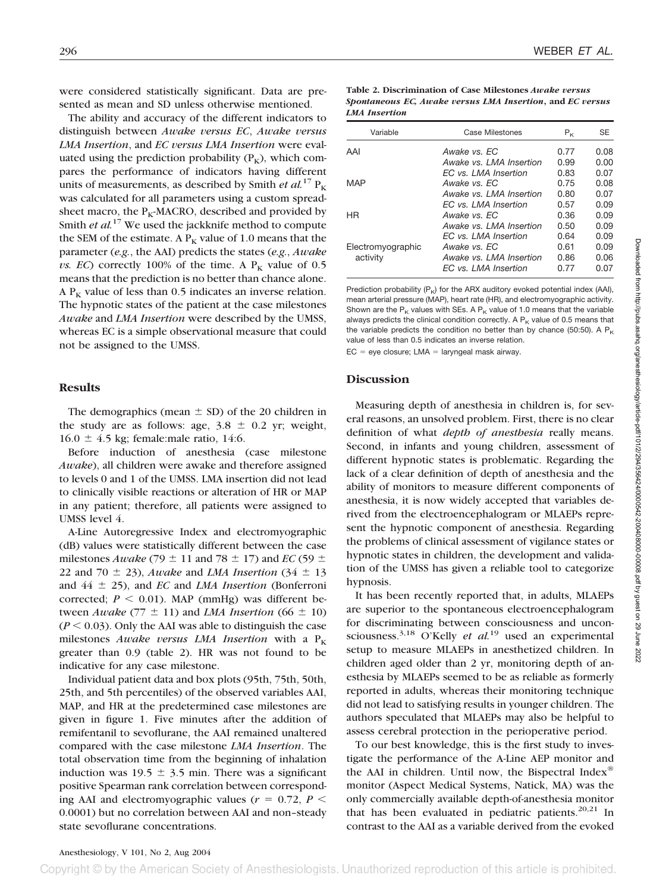were considered statistically significant. Data are presented as mean and SD unless otherwise mentioned.

The ability and accuracy of the different indicators to distinguish between *Awake versus EC*, *Awake versus LMA Insertion*, and *EC versus LMA Insertion* were evaluated using the prediction probability  $(P_K)$ , which compares the performance of indicators having different units of measurements, as described by Smith *et al.*<sup>17</sup>  $P_K$ was calculated for all parameters using a custom spreadsheet macro, the  $P_K$ -MACRO, described and provided by Smith *et al.*<sup>17</sup> We used the jackknife method to compute the SEM of the estimate. A  $P_K$  value of 1.0 means that the parameter (*e.g.*, the AAI) predicts the states (*e.g.*, *Awake vs. EC*) correctly 100% of the time. A  $P_K$  value of 0.5 means that the prediction is no better than chance alone. A  $P_K$  value of less than 0.5 indicates an inverse relation. The hypnotic states of the patient at the case milestones *Awake* and *LMA Insertion* were described by the UMSS, whereas EC is a simple observational measure that could not be assigned to the UMSS.

#### **Results**

The demographics (mean  $\pm$  SD) of the 20 children in the study are as follows: age,  $3.8 \pm 0.2$  yr; weight,  $16.0 \pm 4.5$  kg; female:male ratio, 14:6.

Before induction of anesthesia (case milestone *Awake*), all children were awake and therefore assigned to levels 0 and 1 of the UMSS. LMA insertion did not lead to clinically visible reactions or alteration of HR or MAP in any patient; therefore, all patients were assigned to UMSS level 4.

A-Line Autoregressive Index and electromyographic (dB) values were statistically different between the case milestones *Awake* (79  $\pm$  11 and 78  $\pm$  17) and *EC* (59  $\pm$ 22 and 70  $\pm$  23), *Awake* and *LMA Insertion* (34  $\pm$  13) and 44 25), and *EC* and *LMA Insertion* (Bonferroni corrected;  $P \leq 0.01$ ). MAP (mmHg) was different between *Awake* (77  $\pm$  11) and *LMA Insertion* (66  $\pm$  10)  $(P \le 0.03)$ . Only the AAI was able to distinguish the case milestones *Awake versus LMA Insertion* with a  $P_K$ greater than 0.9 (table 2). HR was not found to be indicative for any case milestone.

Individual patient data and box plots (95th, 75th, 50th, 25th, and 5th percentiles) of the observed variables AAI, MAP, and HR at the predetermined case milestones are given in figure 1. Five minutes after the addition of remifentanil to sevoflurane, the AAI remained unaltered compared with the case milestone *LMA Insertion*. The total observation time from the beginning of inhalation induction was  $19.5 \pm 3.5$  min. There was a significant positive Spearman rank correlation between corresponding AAI and electromyographic values ( $r = 0.72$ ,  $P \leq$ 0.0001) but no correlation between AAI and non–steady state sevoflurane concentrations.

**Table 2. Discrimination of Case Milestones** *Awake versus Spontaneous EC, Awake versus LMA Insertion***, and** *EC versus LMA Insertion*

| Variable          | Case Milestones         | $P_{\kappa}$ | <b>SE</b> |
|-------------------|-------------------------|--------------|-----------|
| AAI               | Awake vs. EC            | 0.77         | 0.08      |
|                   | Awake vs. LMA Insertion | 0.99         | 0.00      |
|                   | EC vs. LMA Insertion    | 0.83         | 0.07      |
| MAP               | Awake vs. EC            | 0.75         | 0.08      |
|                   | Awake vs. LMA Insertion | 0.80         | 0.07      |
|                   | FC vs. I MA Insertion   | 0.57         | 0.09      |
| ΗR                | Awake vs. EC            | 0.36         | 0.09      |
|                   | Awake vs. LMA Insertion | 0.50         | 0.09      |
|                   | FC vs. I MA Insertion   | 0.64         | 0.09      |
| Electromyographic | Awake vs. EC            | 0.61         | 0.09      |
| activity          | Awake vs. LMA Insertion | 0.86         | 0.06      |
|                   | FC vs. I MA Insertion   | 0.77         | 0.07      |
|                   |                         |              |           |

Prediction probability  $(P_K)$  for the ARX auditory evoked potential index (AAI), mean arterial pressure (MAP), heart rate (HR), and electromyographic activity. Shown are the  $P_K$  values with SEs. A  $P_K$  value of 1.0 means that the variable always predicts the clinical condition correctly. A  $P_K$  value of 0.5 means that the variable predicts the condition no better than by chance (50:50). A  $P_K$ value of less than 0.5 indicates an inverse relation.

 $EC = eye closure; LMA = laryngeal mask airway.$ 

## **Discussion**

Measuring depth of anesthesia in children is, for several reasons, an unsolved problem. First, there is no clear definition of what *depth of anesthesia* really means. Second, in infants and young children, assessment of different hypnotic states is problematic. Regarding the lack of a clear definition of depth of anesthesia and the ability of monitors to measure different components of anesthesia, it is now widely accepted that variables derived from the electroencephalogram or MLAEPs represent the hypnotic component of anesthesia. Regarding the problems of clinical assessment of vigilance states or hypnotic states in children, the development and validation of the UMSS has given a reliable tool to categorize hypnosis.

It has been recently reported that, in adults, MLAEPs are superior to the spontaneous electroencephalogram for discriminating between consciousness and unconsciousness.<sup>3,18</sup> O'Kelly *et al.*<sup>19</sup> used an experimental setup to measure MLAEPs in anesthetized children. In children aged older than 2 yr, monitoring depth of anesthesia by MLAEPs seemed to be as reliable as formerly reported in adults, whereas their monitoring technique did not lead to satisfying results in younger children. The authors speculated that MLAEPs may also be helpful to assess cerebral protection in the perioperative period.

To our best knowledge, this is the first study to investigate the performance of the A-Line AEP monitor and the AAI in children. Until now, the Bispectral Index<sup>®</sup> monitor (Aspect Medical Systems, Natick, MA) was the only commercially available depth-of-anesthesia monitor that has been evaluated in pediatric patients. $20,21$  In contrast to the AAI as a variable derived from the evoked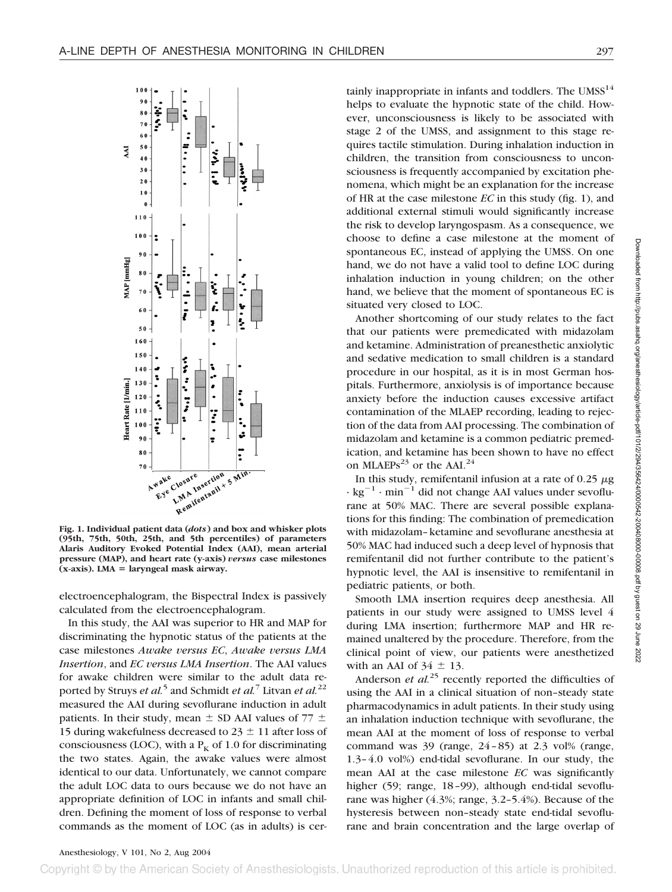

**Fig. 1. Individual patient data (***dots***) and box and whisker plots (95th, 75th, 50th, 25th, and 5th percentiles) of parameters Alaris Auditory Evoked Potential Index (AAI), mean arterial pressure (MAP), and heart rate (y-axis)** *versus* **case milestones (x-axis). LMA** - **laryngeal mask airway.**

electroencephalogram, the Bispectral Index is passively calculated from the electroencephalogram.

In this study, the AAI was superior to HR and MAP for discriminating the hypnotic status of the patients at the case milestones *Awake versus EC*, *Awake versus LMA Insertion*, and *EC versus LMA Insertion*. The AAI values for awake children were similar to the adult data reported by Struys *et al.*<sup>5</sup> and Schmidt *et al.*<sup>7</sup> Litvan *et al.*<sup>22</sup> measured the AAI during sevoflurane induction in adult patients. In their study, mean  $\pm$  SD AAI values of 77  $\pm$ 15 during wakefulness decreased to 23  $\pm$  11 after loss of consciousness (LOC), with a  $P_K$  of 1.0 for discriminating the two states. Again, the awake values were almost identical to our data. Unfortunately, we cannot compare the adult LOC data to ours because we do not have an appropriate definition of LOC in infants and small children. Defining the moment of loss of response to verbal commands as the moment of LOC (as in adults) is cer-

tainly inappropriate in infants and toddlers. The  $UMSS^{14}$ helps to evaluate the hypnotic state of the child. However, unconsciousness is likely to be associated with stage 2 of the UMSS, and assignment to this stage requires tactile stimulation. During inhalation induction in children, the transition from consciousness to unconsciousness is frequently accompanied by excitation phenomena, which might be an explanation for the increase of HR at the case milestone *EC* in this study (fig. 1), and additional external stimuli would significantly increase the risk to develop laryngospasm. As a consequence, we choose to define a case milestone at the moment of spontaneous EC, instead of applying the UMSS. On one hand, we do not have a valid tool to define LOC during inhalation induction in young children; on the other hand, we believe that the moment of spontaneous EC is situated very closed to LOC.

Another shortcoming of our study relates to the fact that our patients were premedicated with midazolam and ketamine. Administration of preanesthetic anxiolytic and sedative medication to small children is a standard procedure in our hospital, as it is in most German hospitals. Furthermore, anxiolysis is of importance because anxiety before the induction causes excessive artifact contamination of the MLAEP recording, leading to rejection of the data from AAI processing. The combination of midazolam and ketamine is a common pediatric premedication, and ketamine has been shown to have no effect on MLAEPs<sup>23</sup> or the AAI.<sup>24</sup>

In this study, remifentanil infusion at a rate of 0.25  $\mu$ g  $\cdot$  kg<sup>-1</sup>  $\cdot$  min<sup>-1</sup> did not change AAI values under sevoflurane at 50% MAC. There are several possible explanations for this finding: The combination of premedication with midazolam–ketamine and sevoflurane anesthesia at 50% MAC had induced such a deep level of hypnosis that remifentanil did not further contribute to the patient's hypnotic level, the AAI is insensitive to remifentanil in pediatric patients, or both.

Smooth LMA insertion requires deep anesthesia. All patients in our study were assigned to UMSS level 4 during LMA insertion; furthermore MAP and HR remained unaltered by the procedure. Therefore, from the clinical point of view, our patients were anesthetized with an AAI of  $34 \pm 13$ .

Anderson *et al.*<sup>25</sup> recently reported the difficulties of using the AAI in a clinical situation of non–steady state pharmacodynamics in adult patients. In their study using an inhalation induction technique with sevoflurane, the mean AAI at the moment of loss of response to verbal command was  $39$  (range,  $24-85$ ) at  $2.3$  vol% (range, 1.3–4.0 vol%) end-tidal sevoflurane. In our study, the mean AAI at the case milestone *EC* was significantly higher (59; range, 18-99), although end-tidal sevoflurane was higher (4.3%; range, 3.2–5.4%). Because of the hysteresis between non–steady state end-tidal sevoflurane and brain concentration and the large overlap of